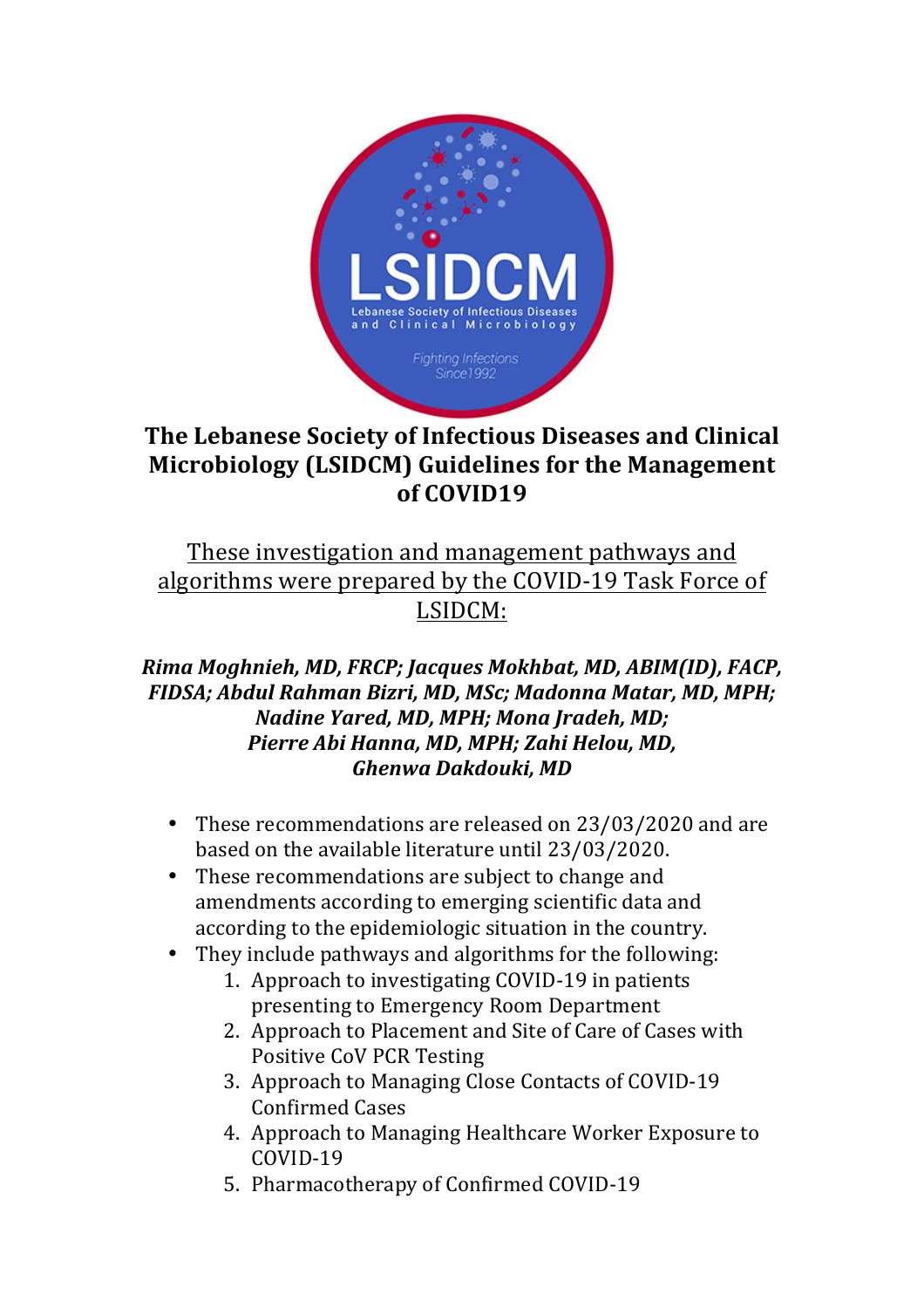

# **The Lebanese Society of Infectious Diseases and Clinical Microbiology** (LSIDCM) Guidelines for the Management **of COVID19**

# These investigation and management pathways and algorithms were prepared by the COVID-19 Task Force of LSIDCM:

## *Rima Moghnieh, MD, FRCP; Jacques Mokhbat, MD, ABIM(ID), FACP, FIDSA; Abdul Rahman Bizri, MD, MSc; Madonna Matar, MD, MPH; Nadine Yared, MD, MPH; Mona Jradeh, MD;* Pierre Abi Hanna, MD, MPH; Zahi Helou, MD, *Ghenwa Dakdouki, MD*

- These recommendations are released on 23/03/2020 and are based on the available literature until 23/03/2020.
- These recommendations are subject to change and amendments according to emerging scientific data and according to the epidemiologic situation in the country.
- They include pathways and algorithms for the following:
	- 1. Approach to investigating COVID-19 in patients presenting to Emergency Room Department
	- 2. Approach to Placement and Site of Care of Cases with Positive CoV PCR Testing
	- 3. Approach to Managing Close Contacts of COVID-19 Confirmed Cases
	- 4. Approach to Managing Healthcare Worker Exposure to COVID-19
	- 5. Pharmacotherapy of Confirmed COVID-19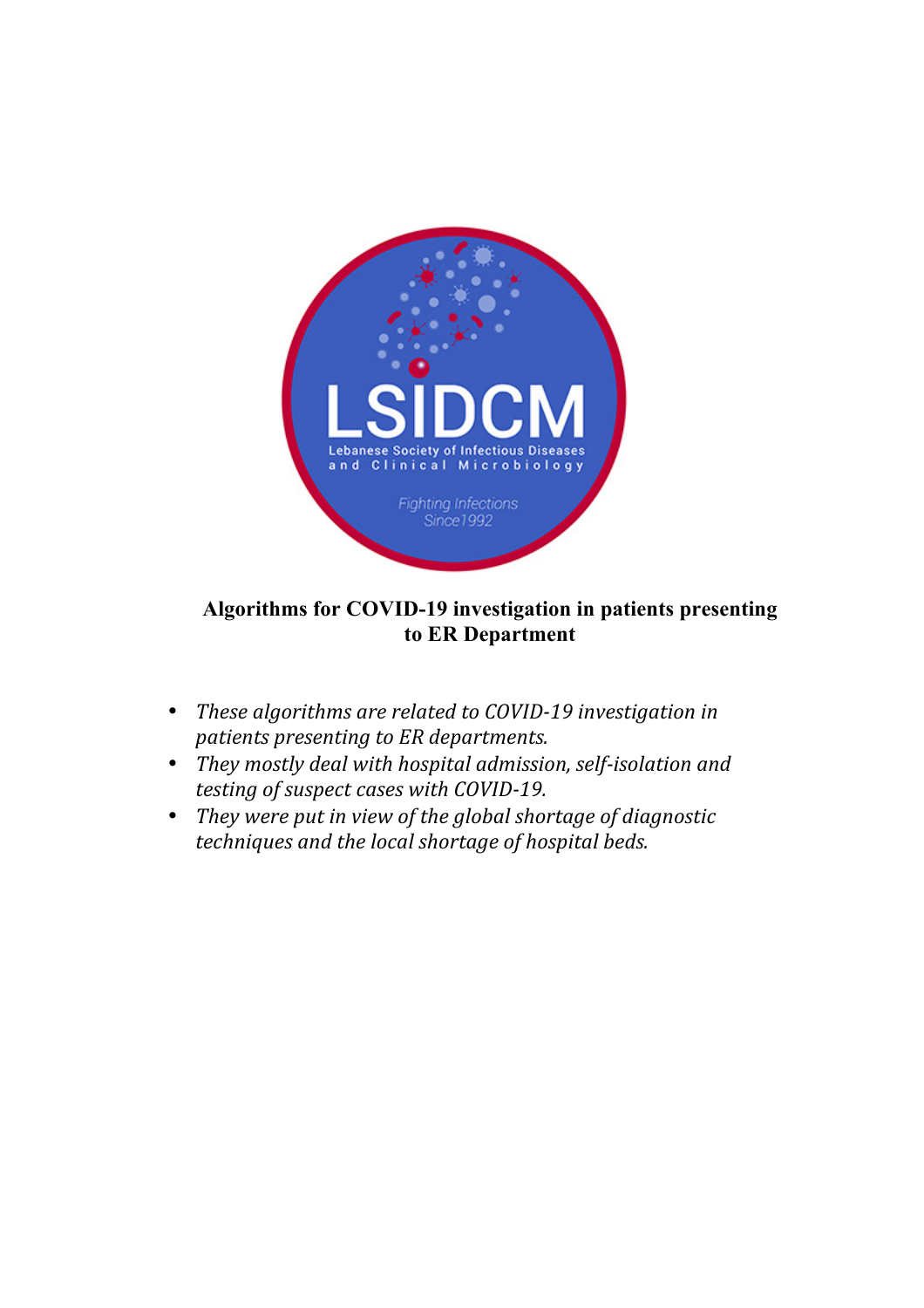

## **Algorithms for COVID-19 investigation in patients presenting to ER Department**

- *These algorithms are related to COVID-19 investigation in patients presenting to ER departments.*
- *They mostly deal with hospital admission, self-isolation and testing of suspect cases with COVID-19.*
- *They* were put in view of the global shortage of diagnostic *techniques and the local shortage of hospital beds.*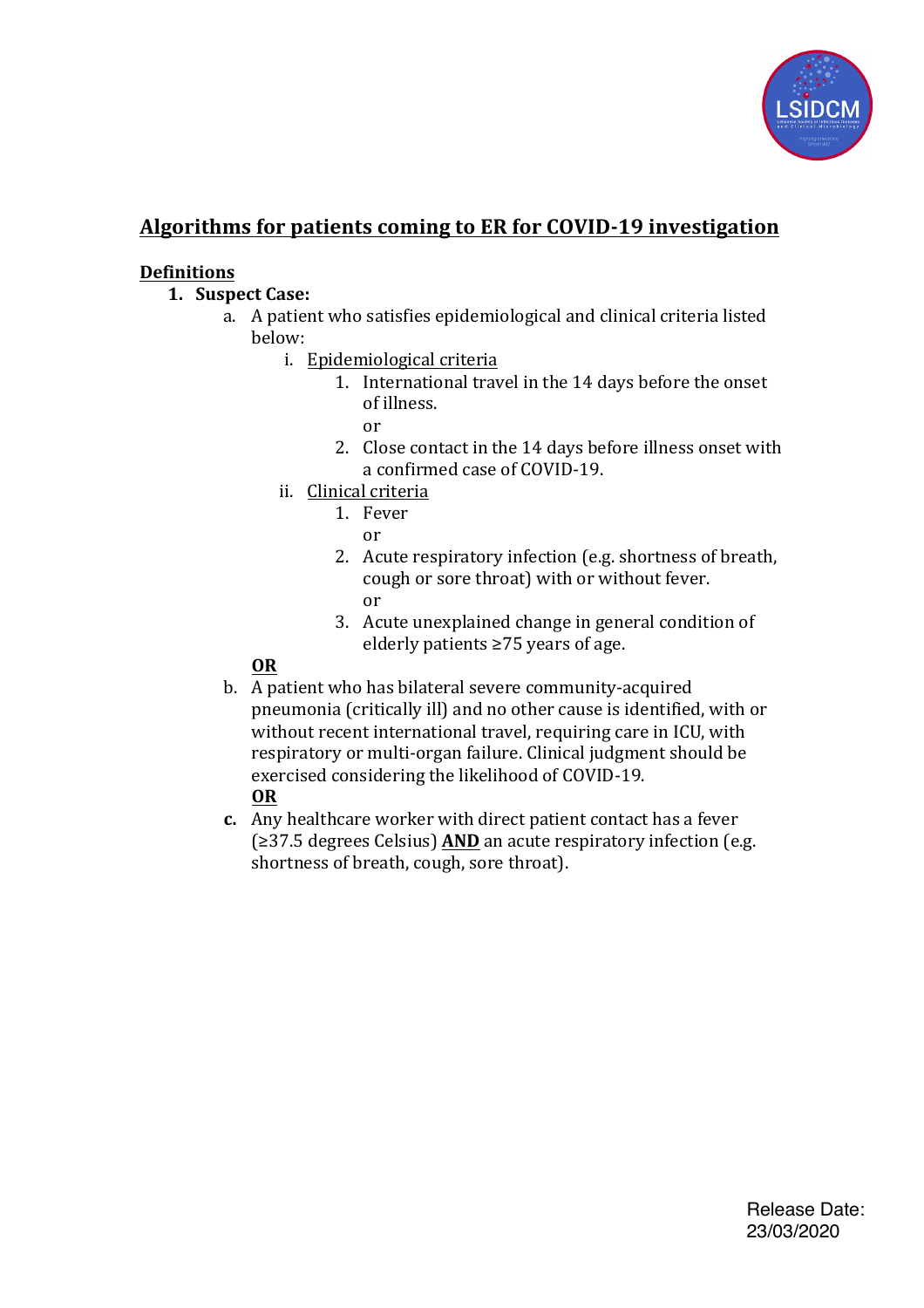

## Algorithms for patients coming to ER for COVID-19 investigation

## **Definitions**

- **1. Suspect Case:**
	- a. A patient who satisfies epidemiological and clinical criteria listed below:
		- i. Epidemiological criteria
			- 1. International travel in the 14 days before the onset of illness.
				- or
			- 2. Close contact in the 14 days before illness onset with a confirmed case of COVID-19.
		- ii. Clinical criteria
			- 1. Fever
				- or
				- 2. Acute respiratory infection (e.g. shortness of breath, cough or sore throat) with or without fever. or
				- 3. Acute unexplained change in general condition of elderly patients  $\geq$ 75 years of age.

## **OR**

- b. A patient who has bilateral severe community-acquired pneumonia (critically ill) and no other cause is identified, with or without recent international travel, requiring care in ICU, with respiratory or multi-organ failure. Clinical judgment should be exercised considering the likelihood of COVID-19. **OR**
- **c.** Any healthcare worker with direct patient contact has a fever (≥37.5 degrees Celsius) **AND** an acute respiratory infection (e.g. shortness of breath, cough, sore throat).

Release Date: 23/03/2020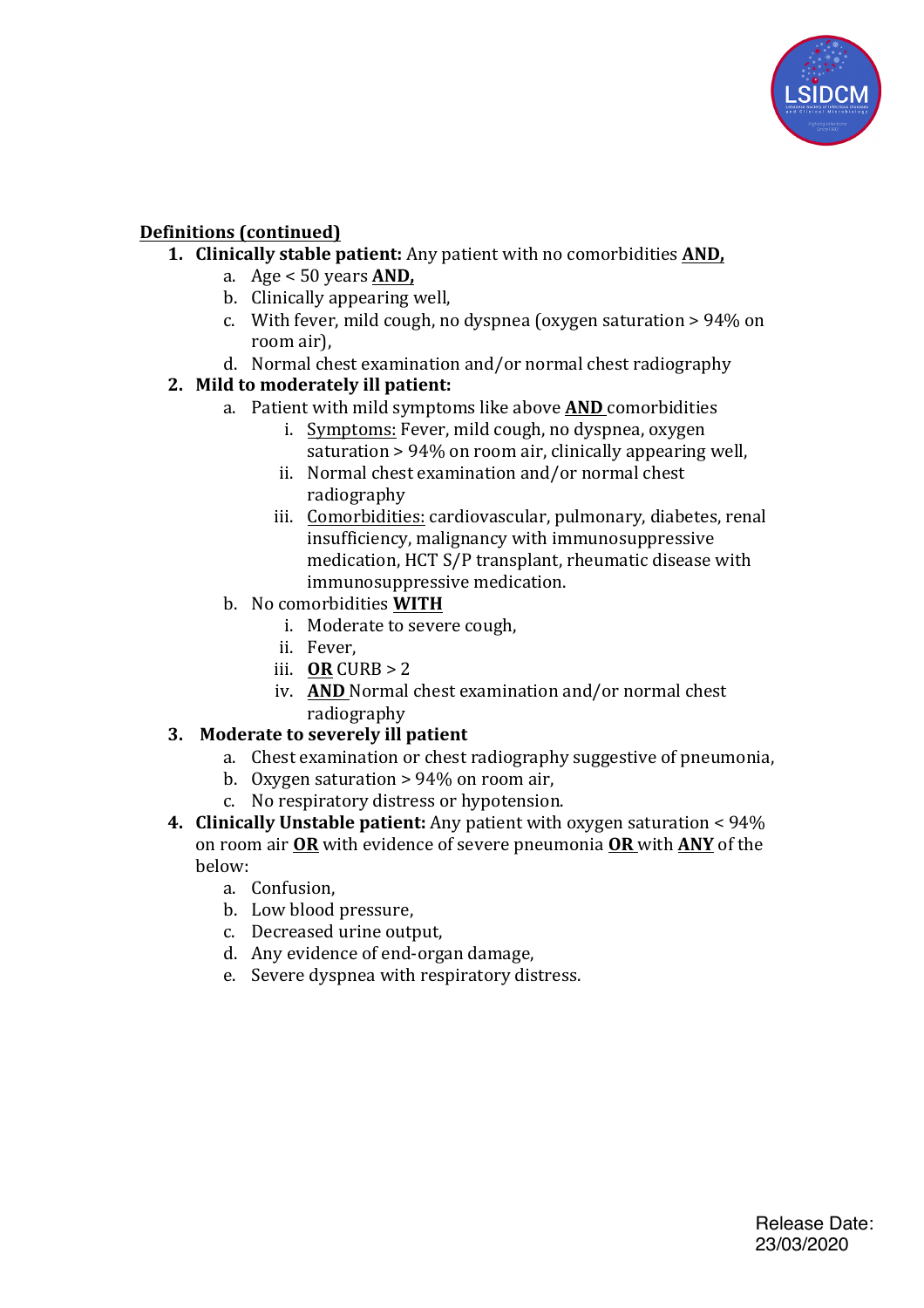

## **Definitions** (continued)

- **1. Clinically stable patient:** Any patient with no comorbidities **AND**,
	- a.  $Age < 50 \text{ years}$  **AND**,
	- b. Clinically appearing well,
	- c. With fever, mild cough, no dyspnea (oxygen saturation  $> 94\%$  on room air).
	- d. Normal chest examination and/or normal chest radiography

## **2.** Mild to moderately ill patient:

- a. Patient with mild symptoms like above **AND** comorbidities
	- i. Symptoms: Fever, mild cough, no dyspnea, oxygen saturation  $> 94\%$  on room air, clinically appearing well.
	- ii. Normal chest examination and/or normal chest radiography
	- iii. Comorbidities: cardiovascular, pulmonary, diabetes, renal insufficiency, malignancy with immunosuppressive medication, HCT S/P transplant, rheumatic disease with immunosuppressive medication.
- b. No comorbidities **WITH**
	- i. Moderate to severe cough,
	- ii. Fever,
	- iii. **OR** CURB  $> 2$
	- iv. **AND** Normal chest examination and/or normal chest radiography

## **3.** Moderate to severely ill patient

- a. Chest examination or chest radiography suggestive of pneumonia,
	- b. Oxygen saturation  $> 94\%$  on room air,
	- c. No respiratory distress or hypotension.
- **4. Clinically Unstable patient:** Any patient with oxygen saturation <  $94\%$ on room air OR with evidence of severe pneumonia OR with ANY of the below:
	- a. Confusion,
	- b. Low blood pressure,
	- c. Decreased urine output.
	- d. Any evidence of end-organ damage,
	- e. Severe dyspnea with respiratory distress.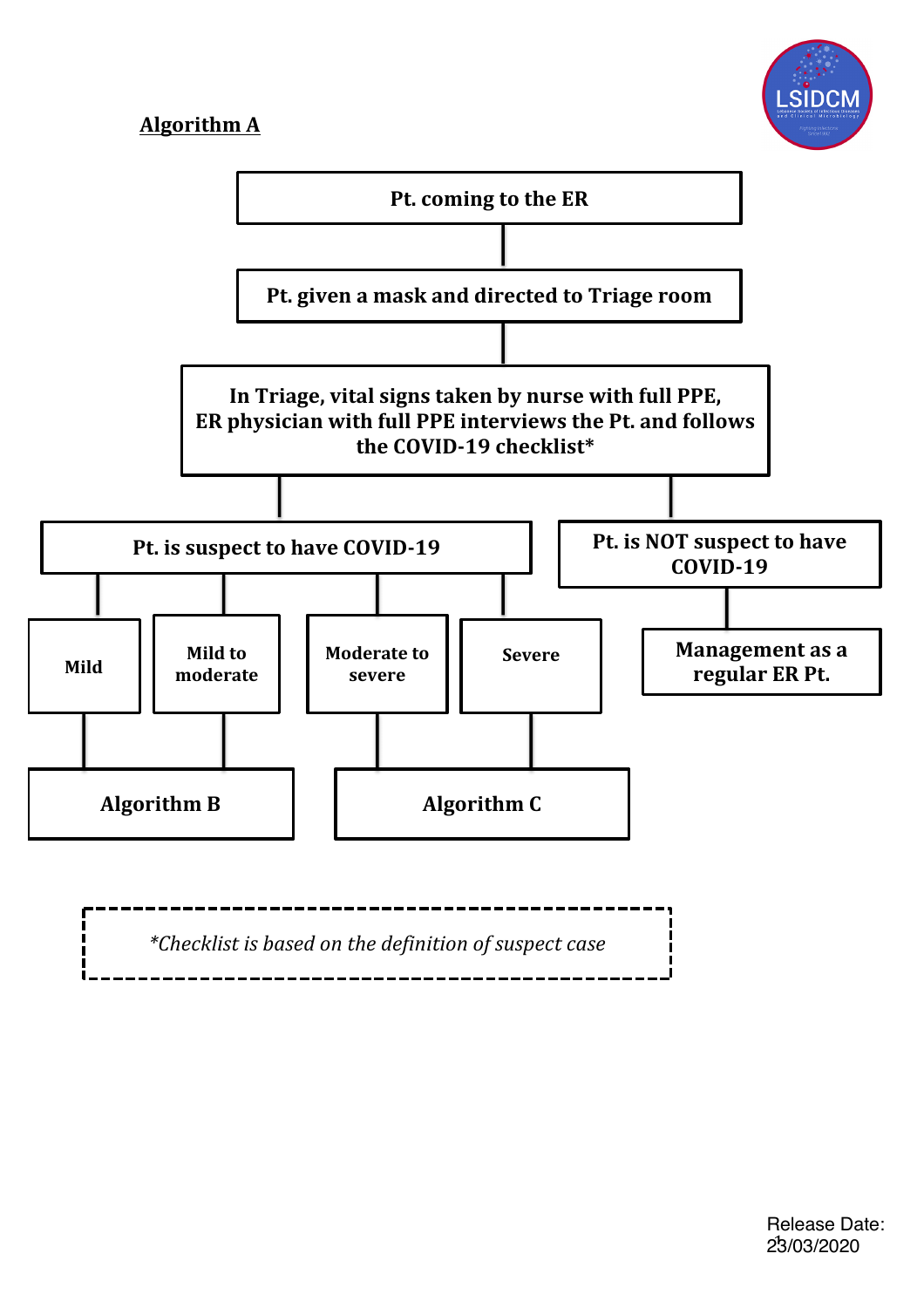# **Algorithm A**



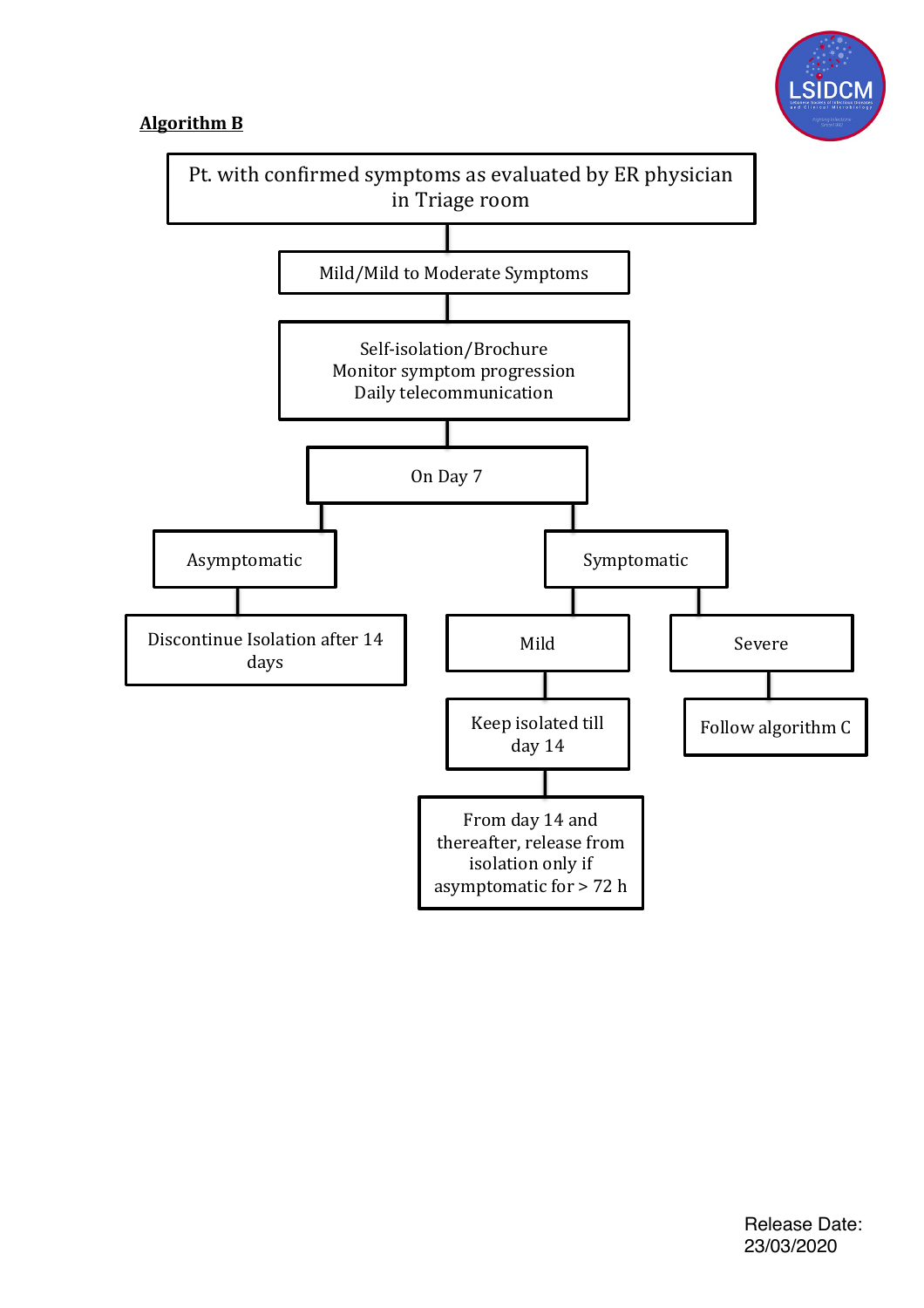

## **Algorithm B**

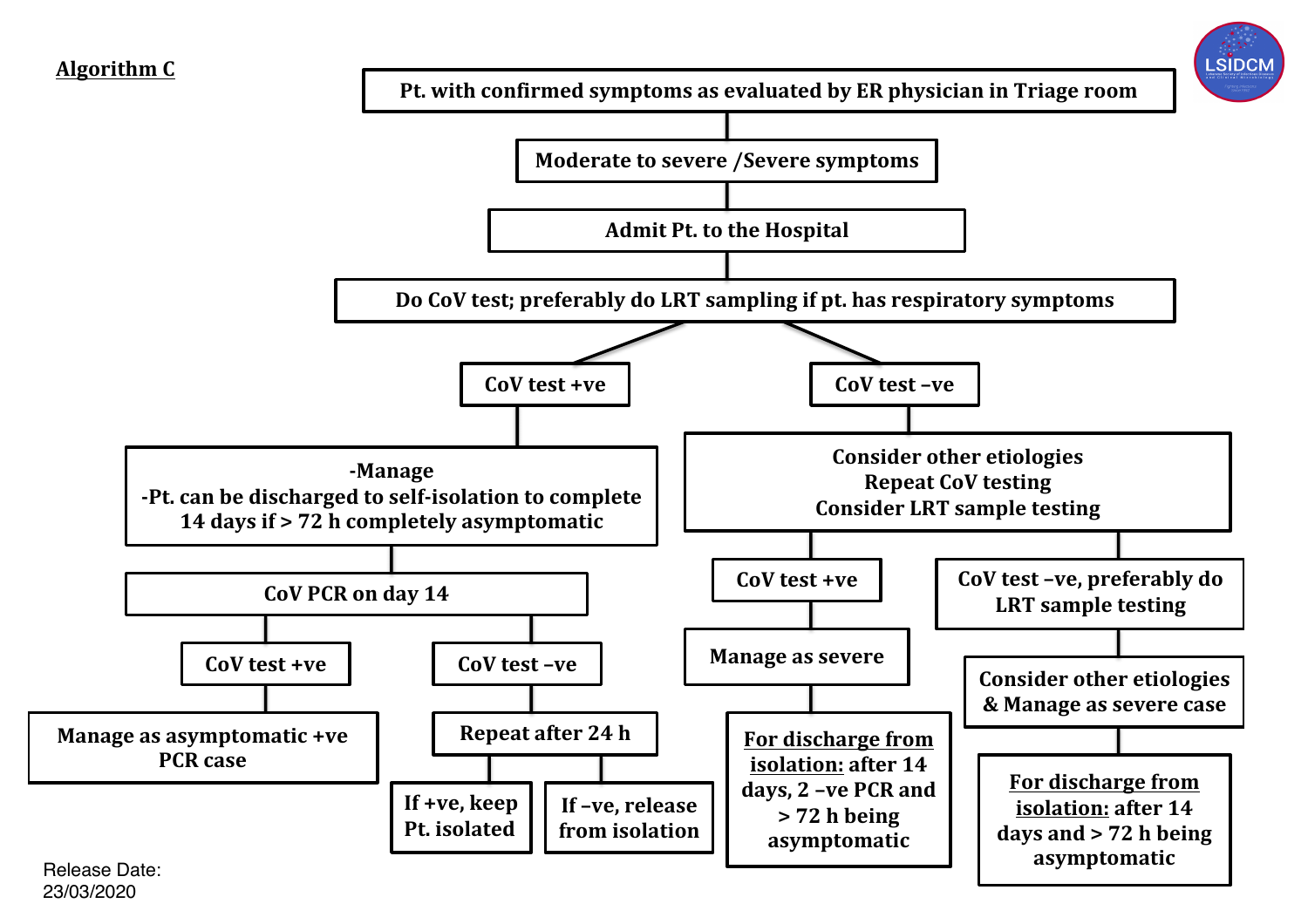

23/03/2020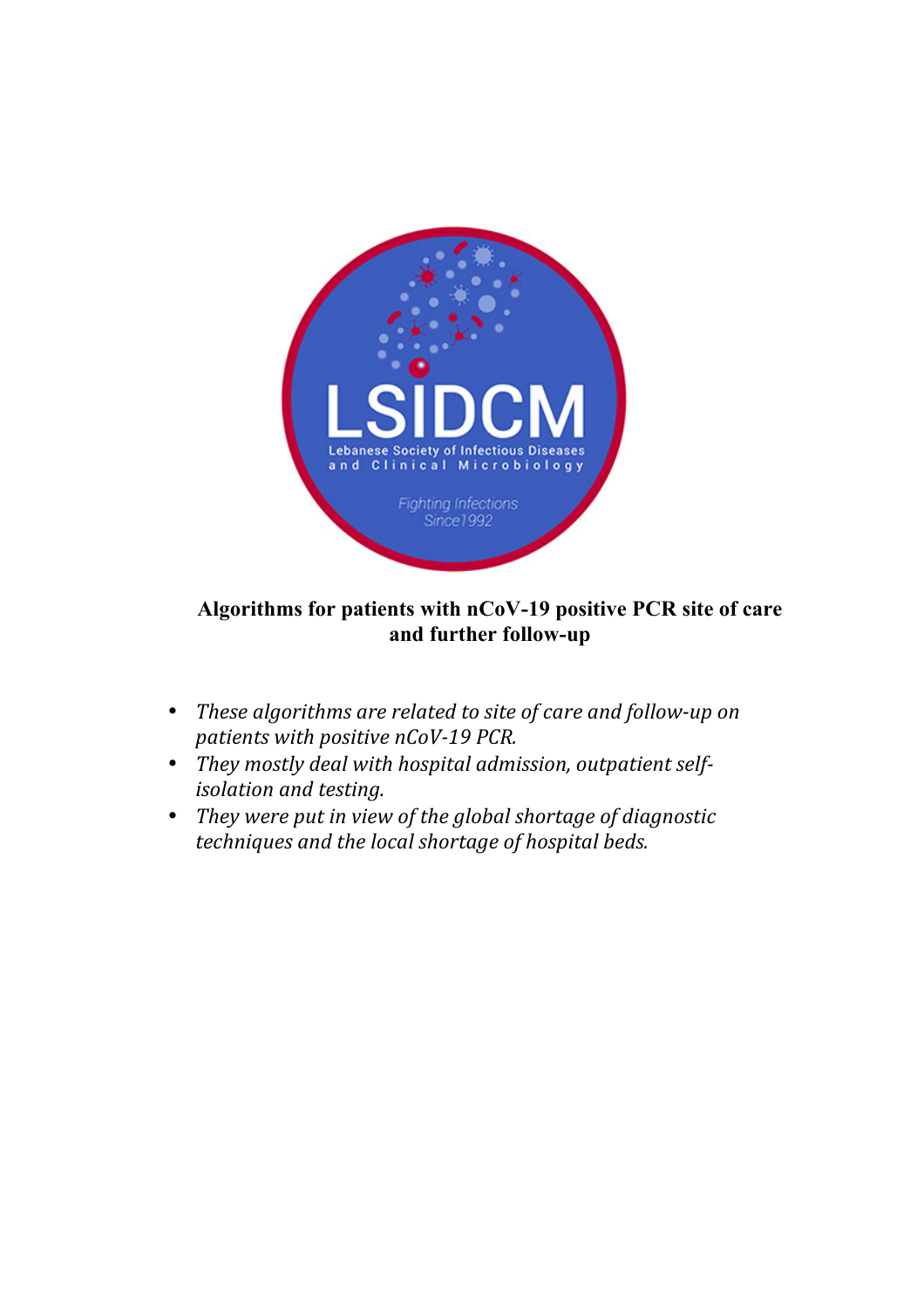

## **Algorithms for patients with nCoV-19 positive PCR site of care and further follow-up**

- These algorithms are related to site of care and follow-up on *patients with positive nCoV-19 PCR.*
- They mostly deal with hospital admission, outpatient self*isolation and testing.*
- *They* were put in view of the global shortage of diagnostic *techniques* and the local shortage of hospital beds.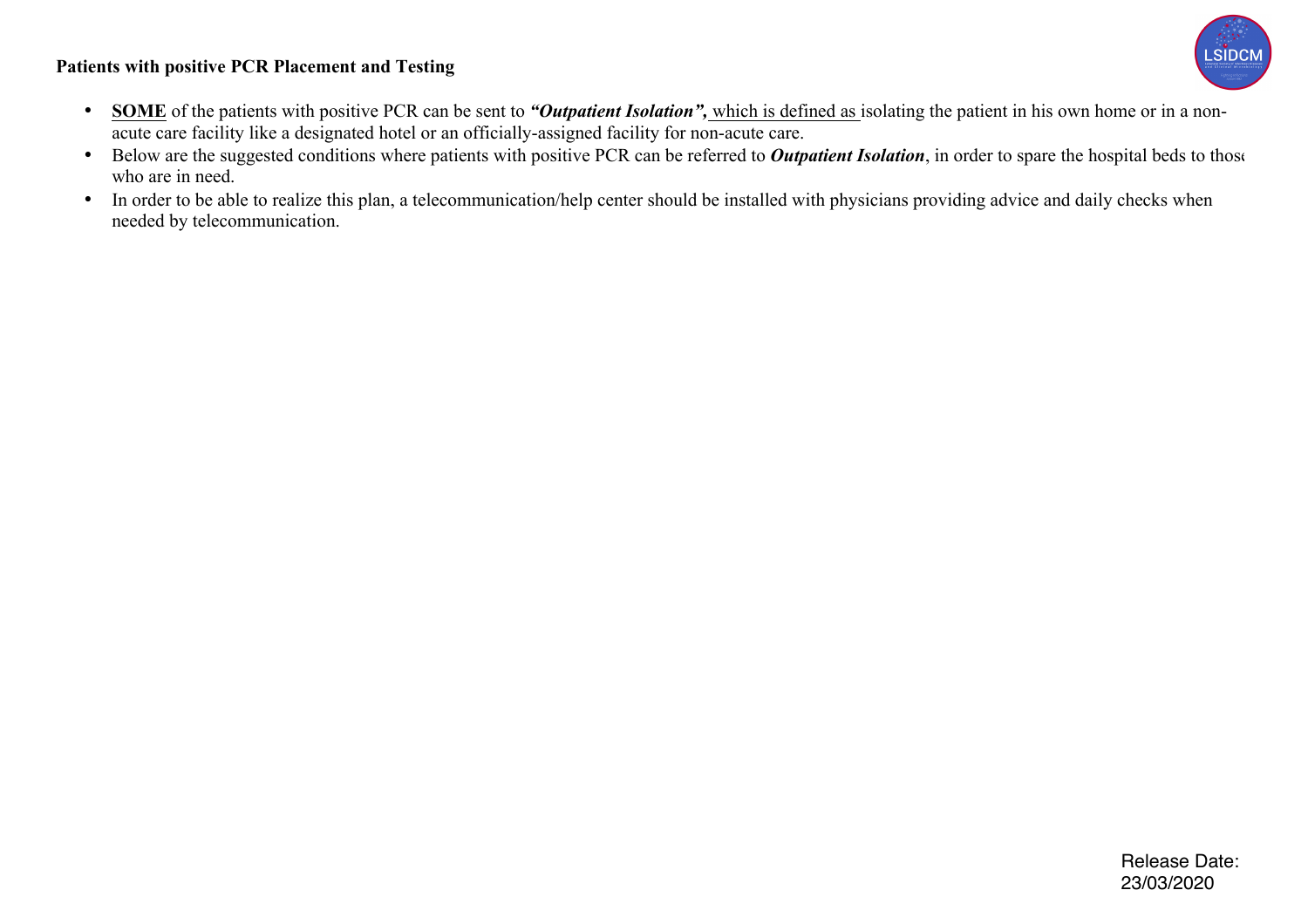#### **Patients with positive PCR Placement and Testing**



- **SOME** of the patients with positive PCR can be sent to *"Outpatient Isolation"*, which is defined as isolating the patient in his own home or in a nonacute care facility like a designated hotel or an officially-assigned facility for non-acute care.
- Below are the suggested conditions where patients with positive PCR can be referred to *Outpatient Isolation*, in order to spare the hospital beds to those who are in need.
- In order to be able to realize this plan, a telecommunication/help center should be installed with physicians providing advice and daily checks when needed by telecommunication.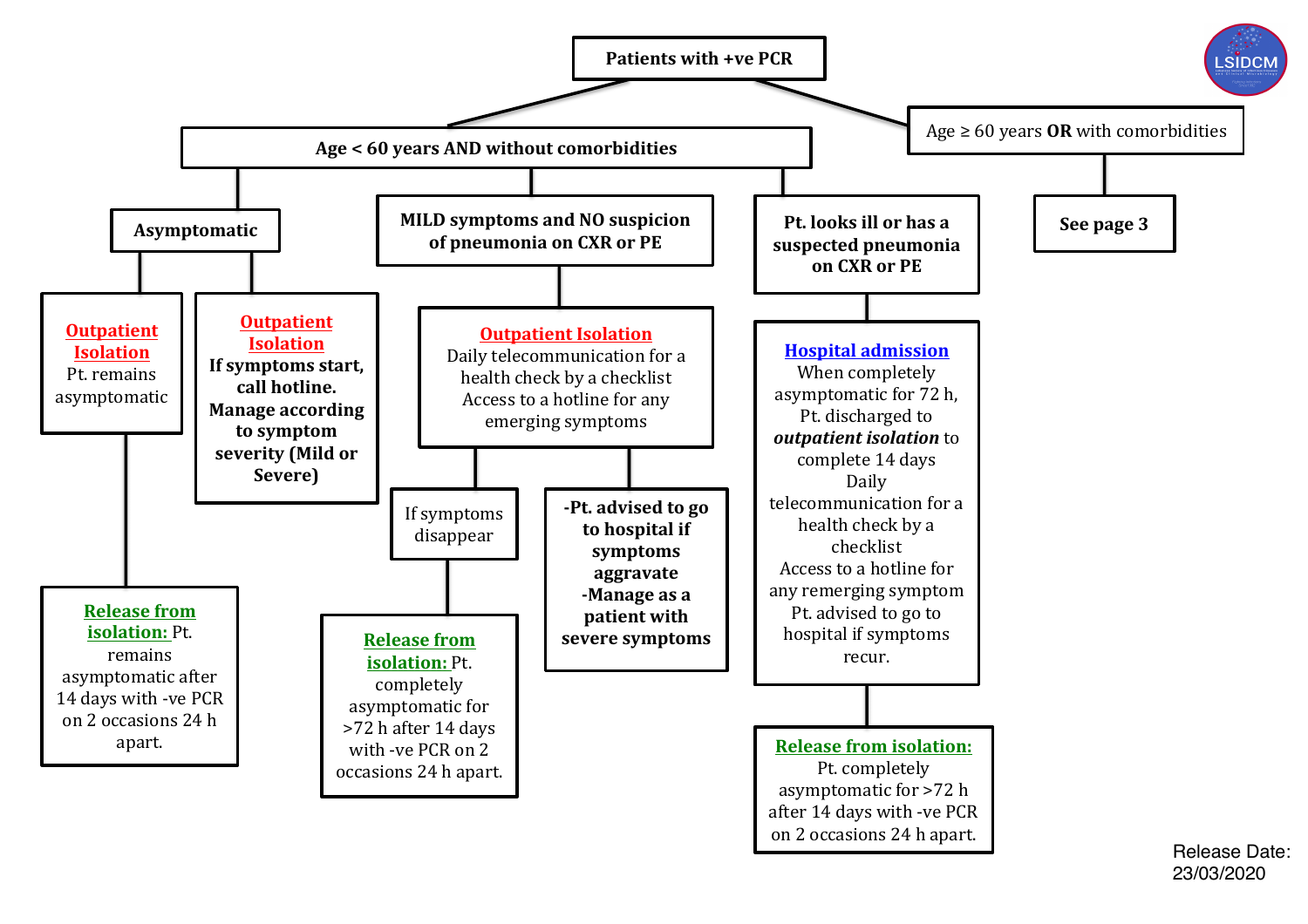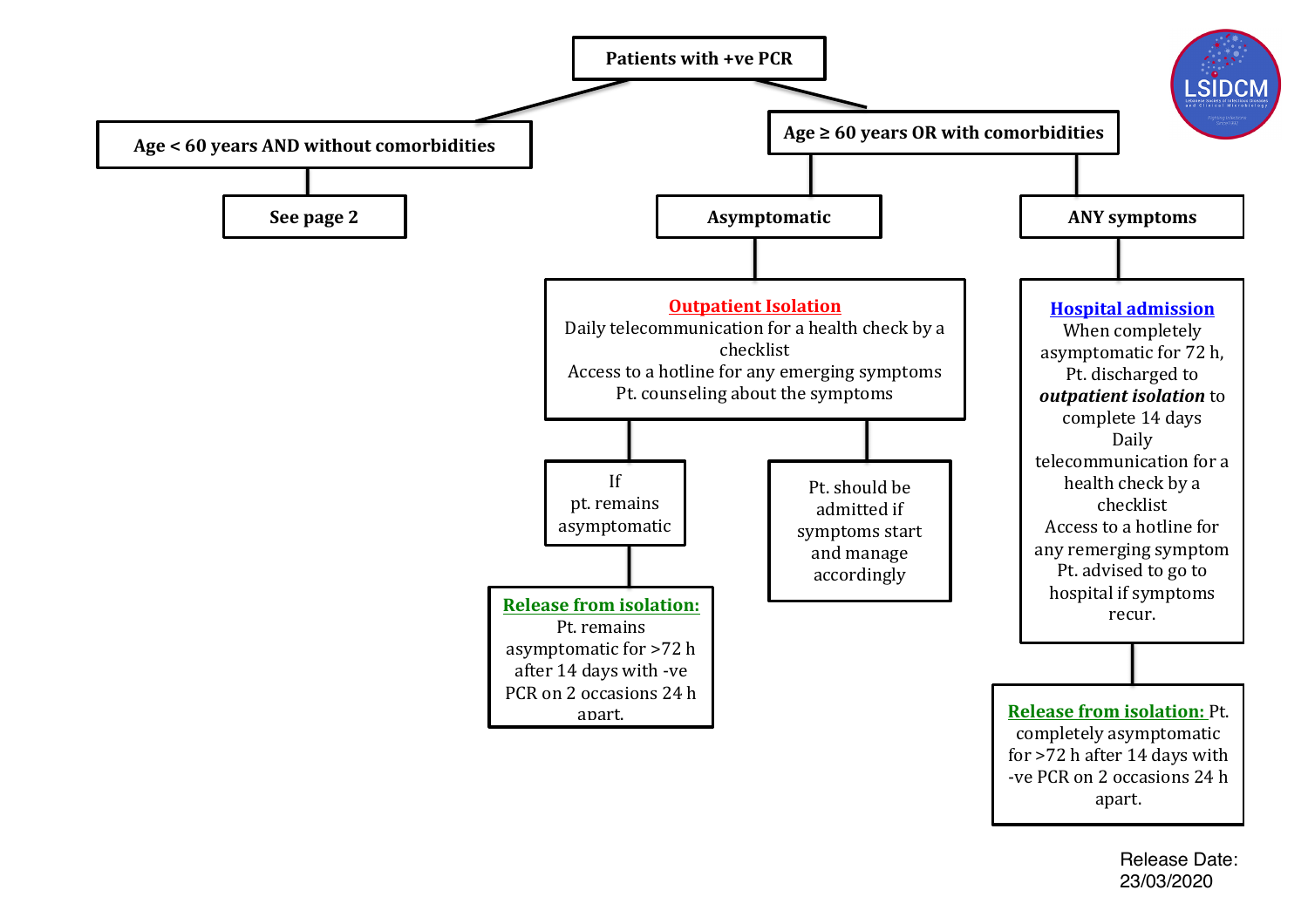

Release Date: 23/03/2020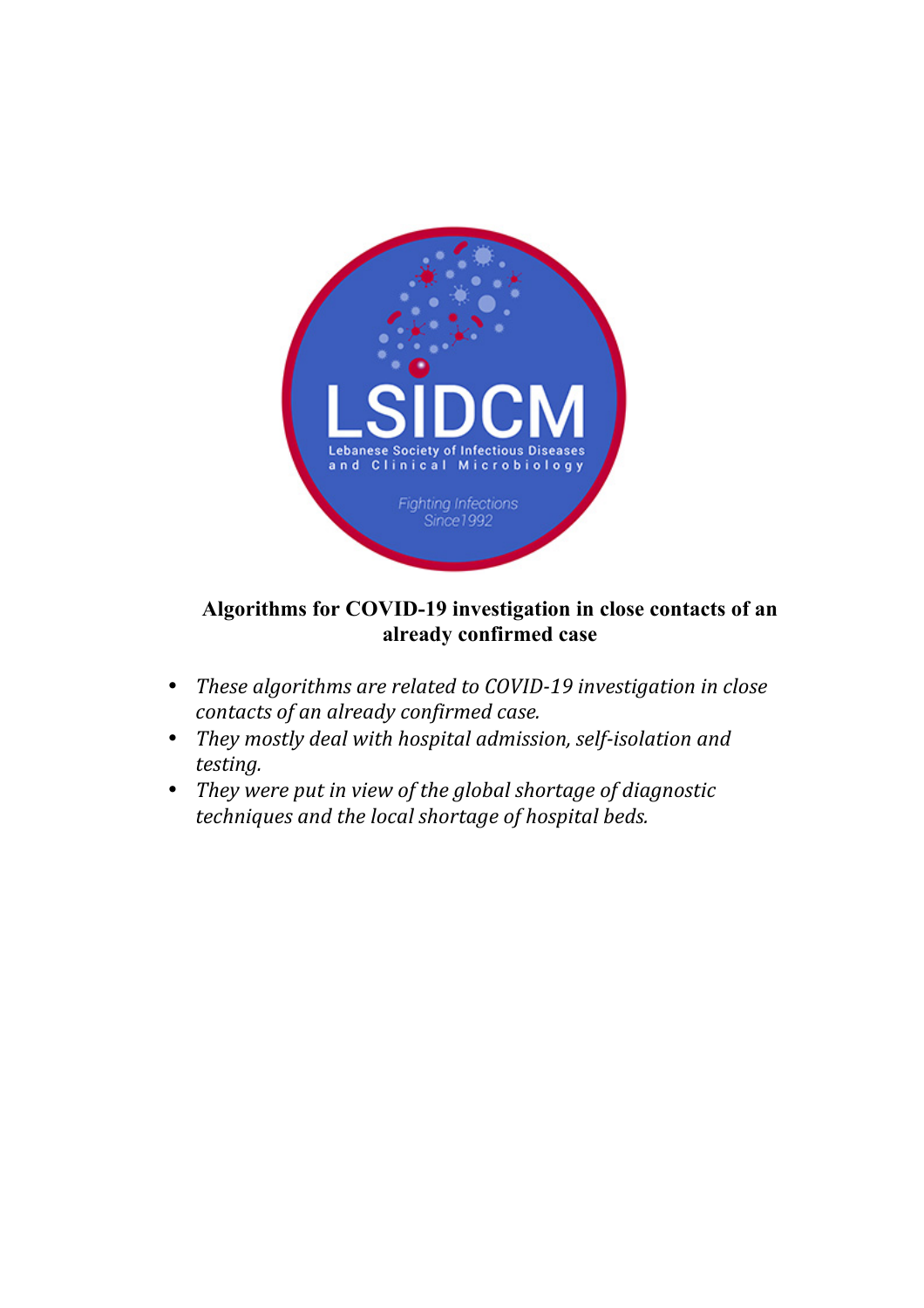

## **Algorithms for COVID-19 investigation in close contacts of an already confirmed case**

- *These algorithms are related to COVID-19 investigation in close contacts of an already confirmed case.*
- *They* mostly deal with hospital admission, self-isolation and *testing.*
- *They* were put in view of the global shortage of diagnostic *techniques* and the local shortage of hospital beds.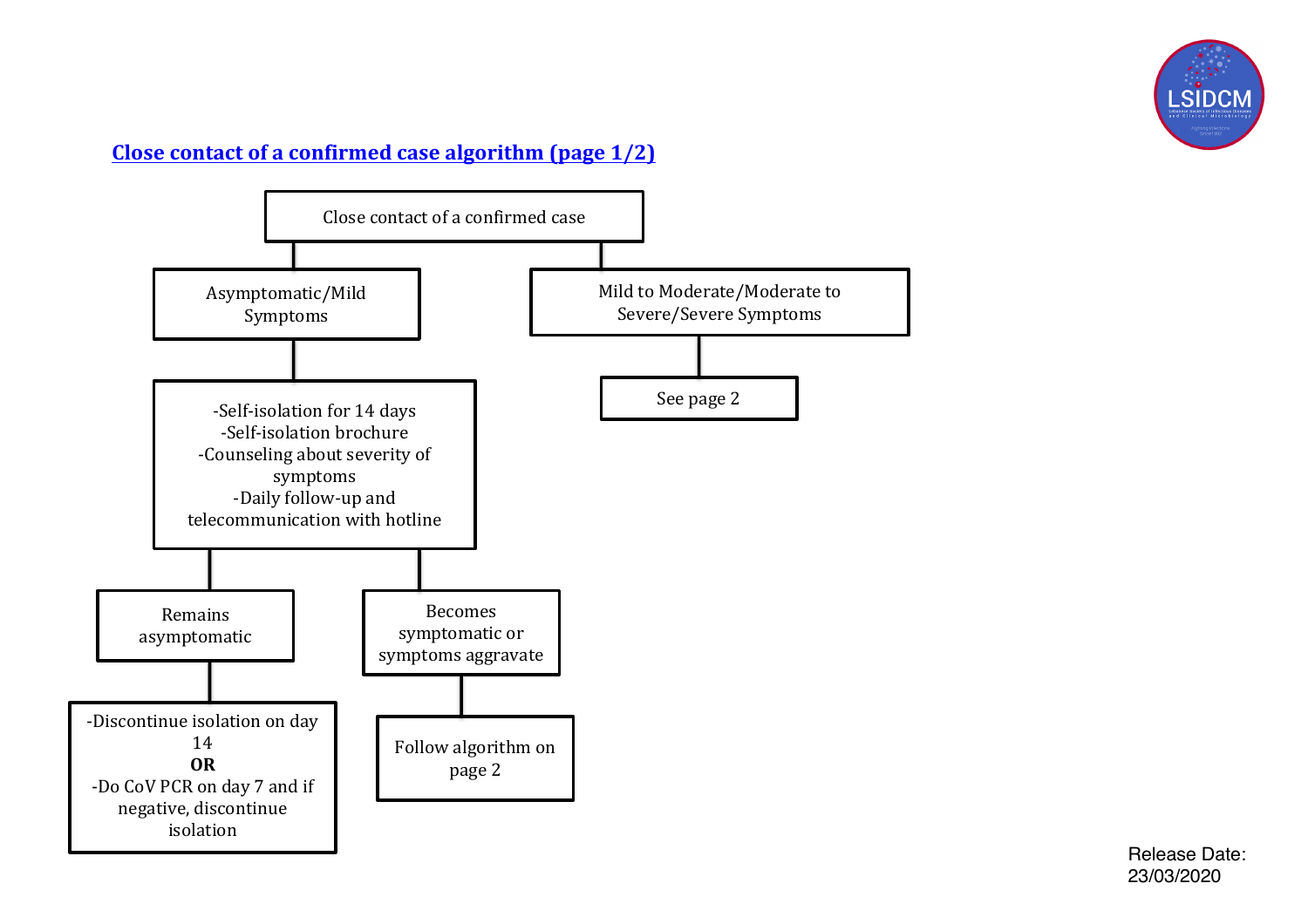

# **Close contact of a confirmed case algorithm (page 1/2)**



Release Date: 23/03/2020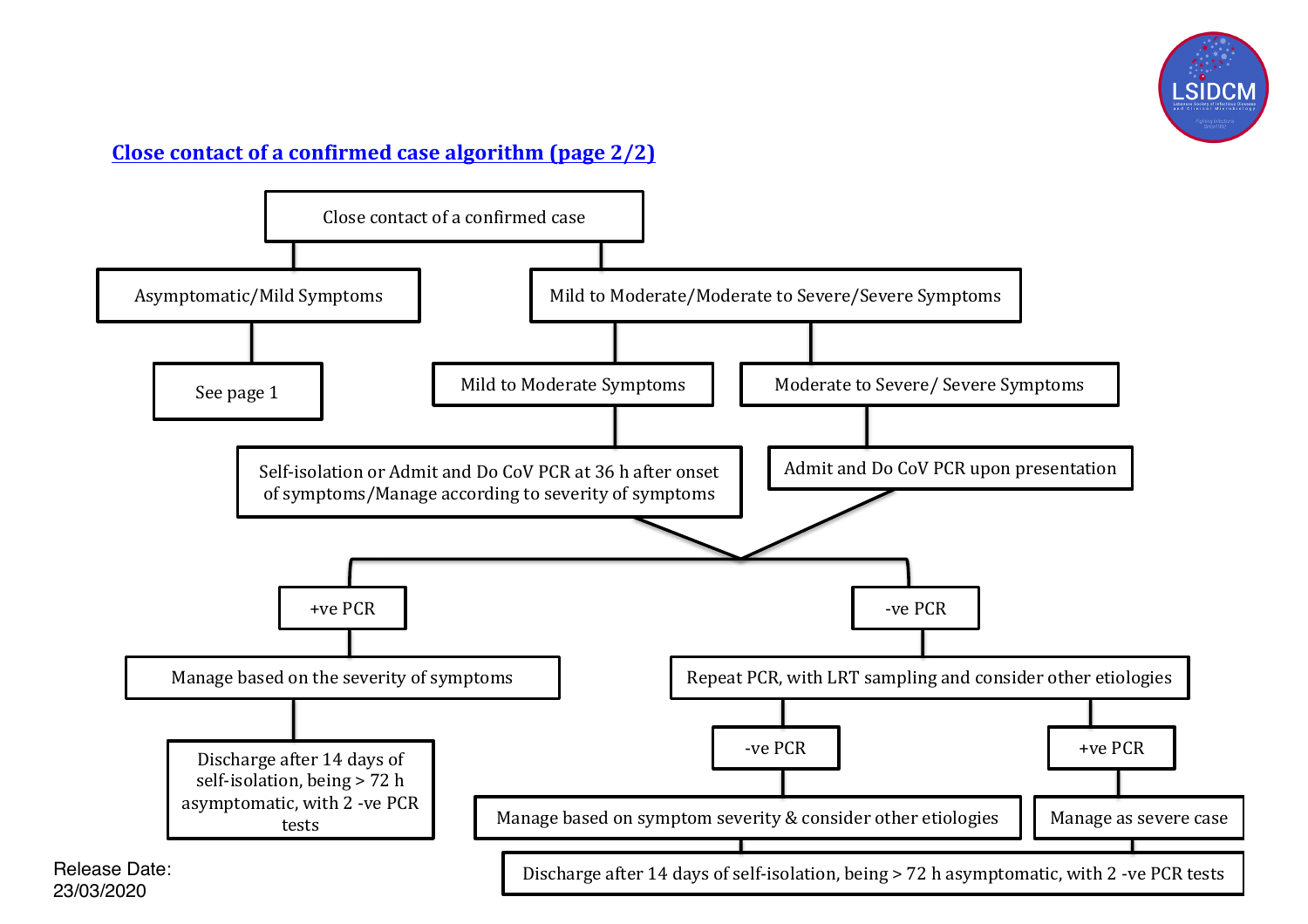

# **Close contact of a confirmed case algorithm (page 2/2)**

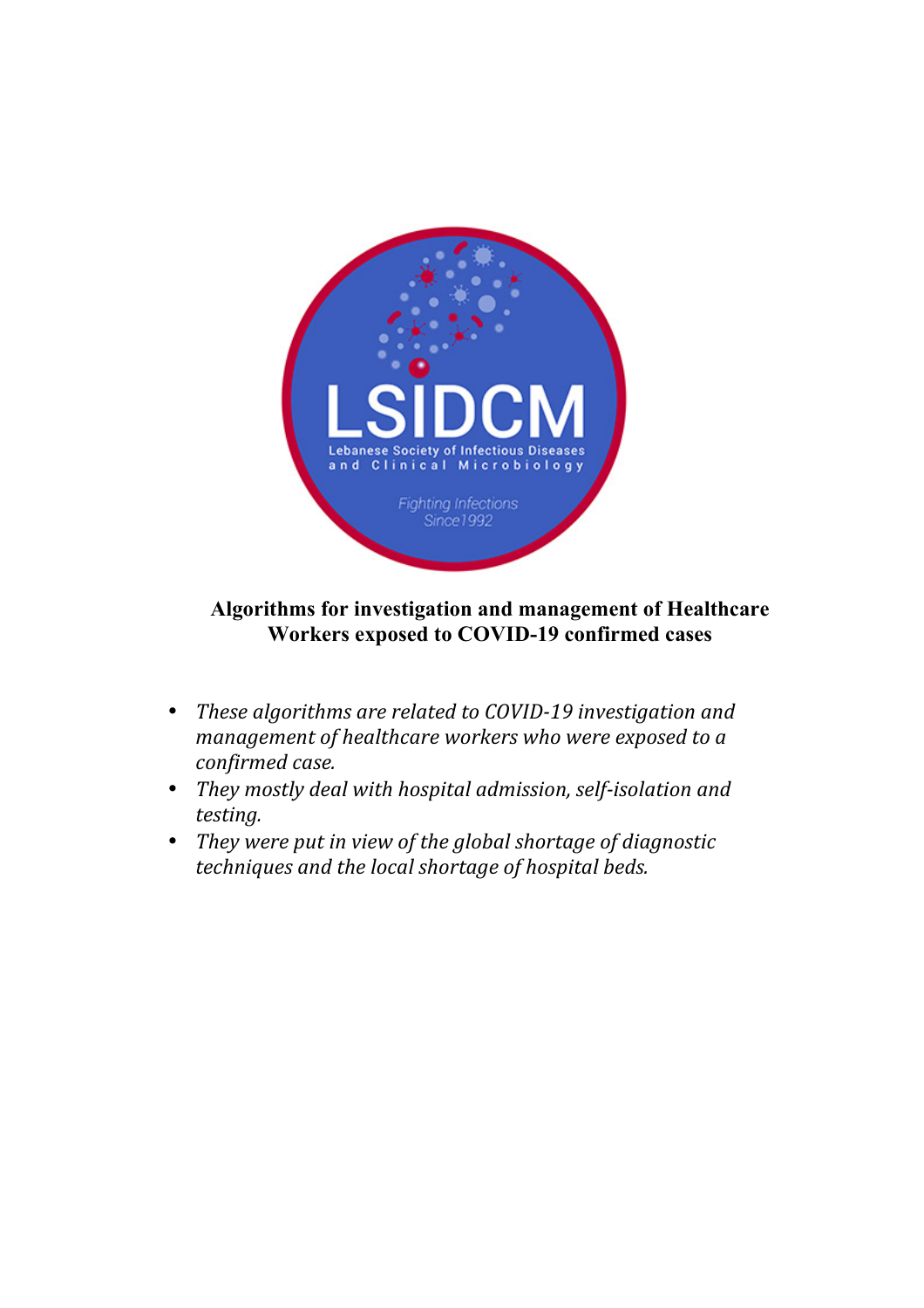

## **Algorithms for investigation and management of Healthcare Workers exposed to COVID-19 confirmed cases**

- These algorithms are related to COVID-19 investigation and *management of healthcare workers who were exposed to a confirmed case.*
- *They* mostly deal with hospital admission, self-isolation and *testing.*
- *They* were put in view of the global shortage of diagnostic *techniques and the local shortage of hospital beds.*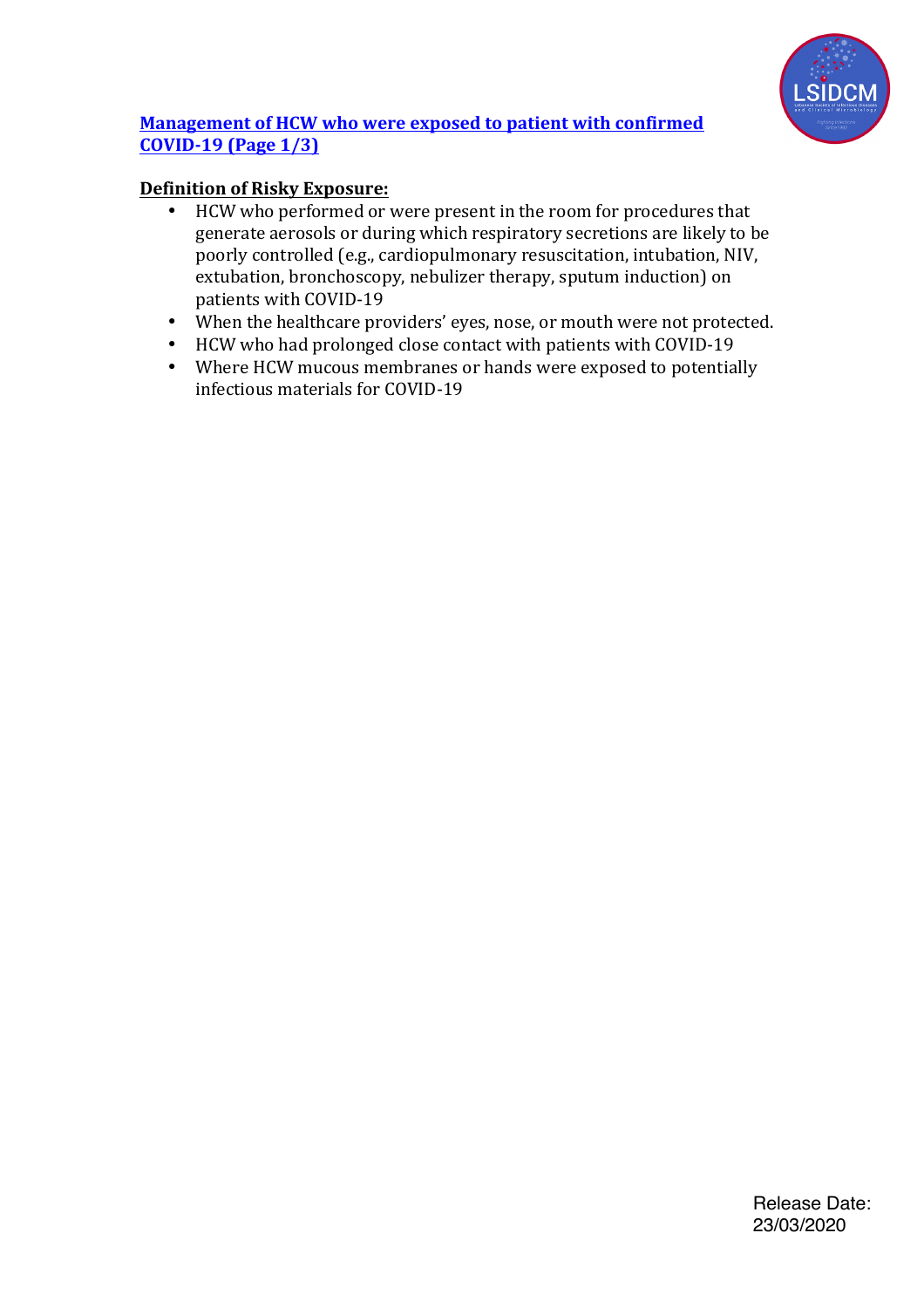

## **Management of HCW who were exposed to patient with confirmed COVID-19 (Page 1/3)**

## **Definition of Risky Exposure:**

- HCW who performed or were present in the room for procedures that generate aerosols or during which respiratory secretions are likely to be poorly controlled (e.g., cardiopulmonary resuscitation, intubation, NIV, extubation, bronchoscopy, nebulizer therapy, sputum induction) on patients with COVID-19
- When the healthcare providers' eyes, nose, or mouth were not protected.
- HCW who had prolonged close contact with patients with COVID-19<br>• Where HCW mucous membranes or hands were exposed to potentia
- Where HCW mucous membranes or hands were exposed to potentially infectious materials for COVID-19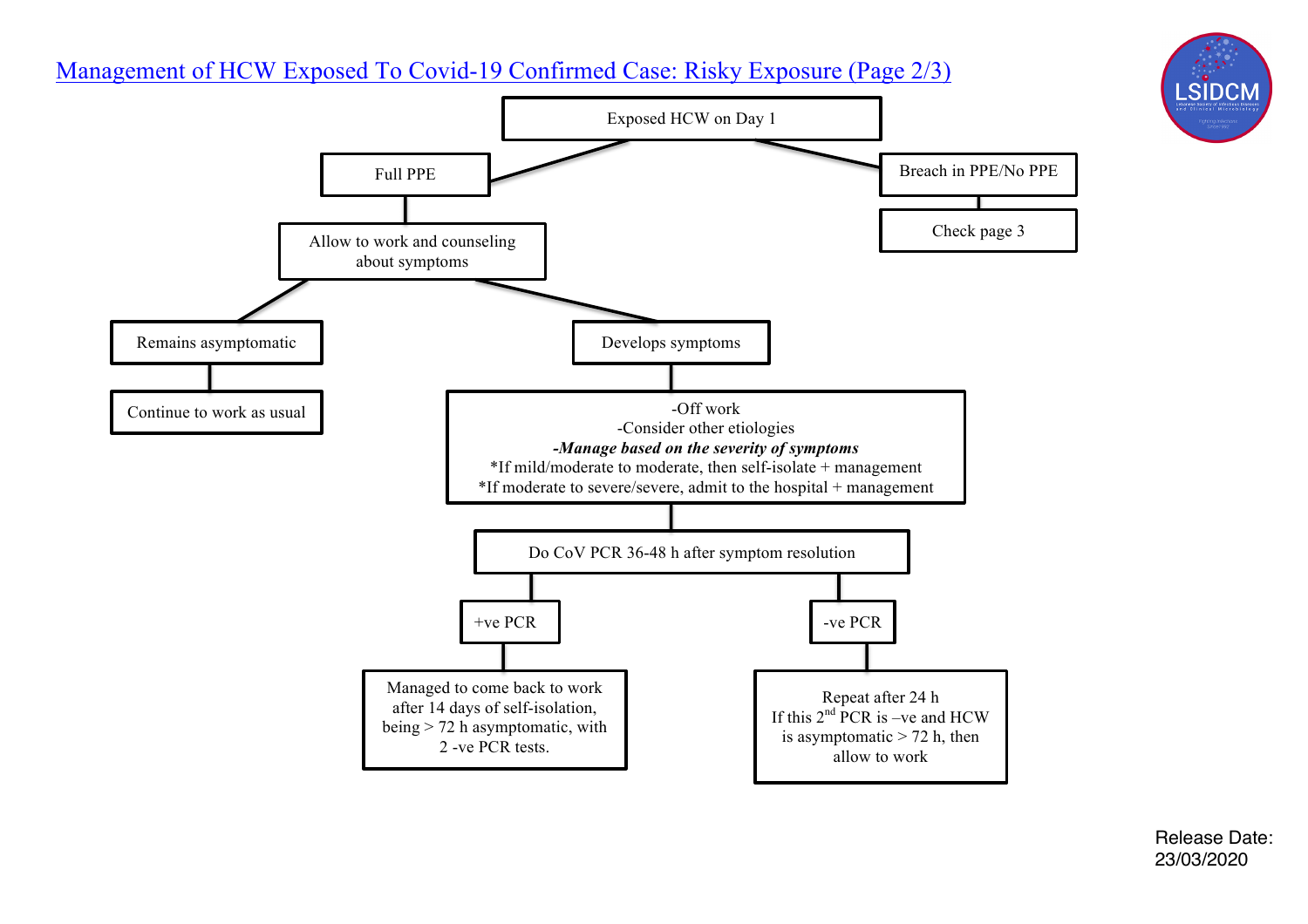# Management of HCW Exposed To Covid-19 Confirmed Case: Risky Exposure (Page 2/3)



Release Date: 23/03/2020

LSIDCN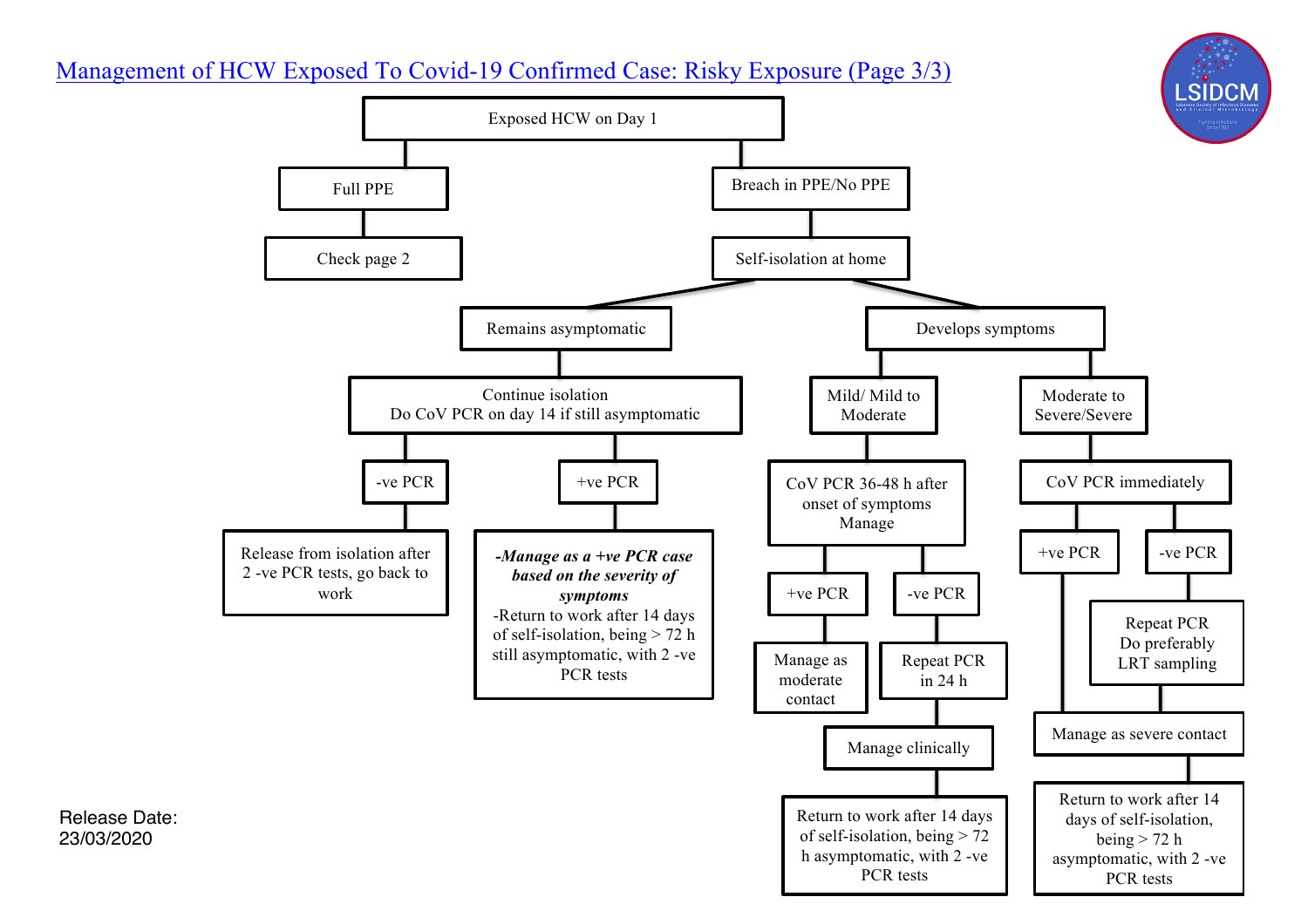# Management of HCW Exposed To Covid-19 Confirmed Case: Risky Exposure (Page 3/3)



Release Date: 23/03/2020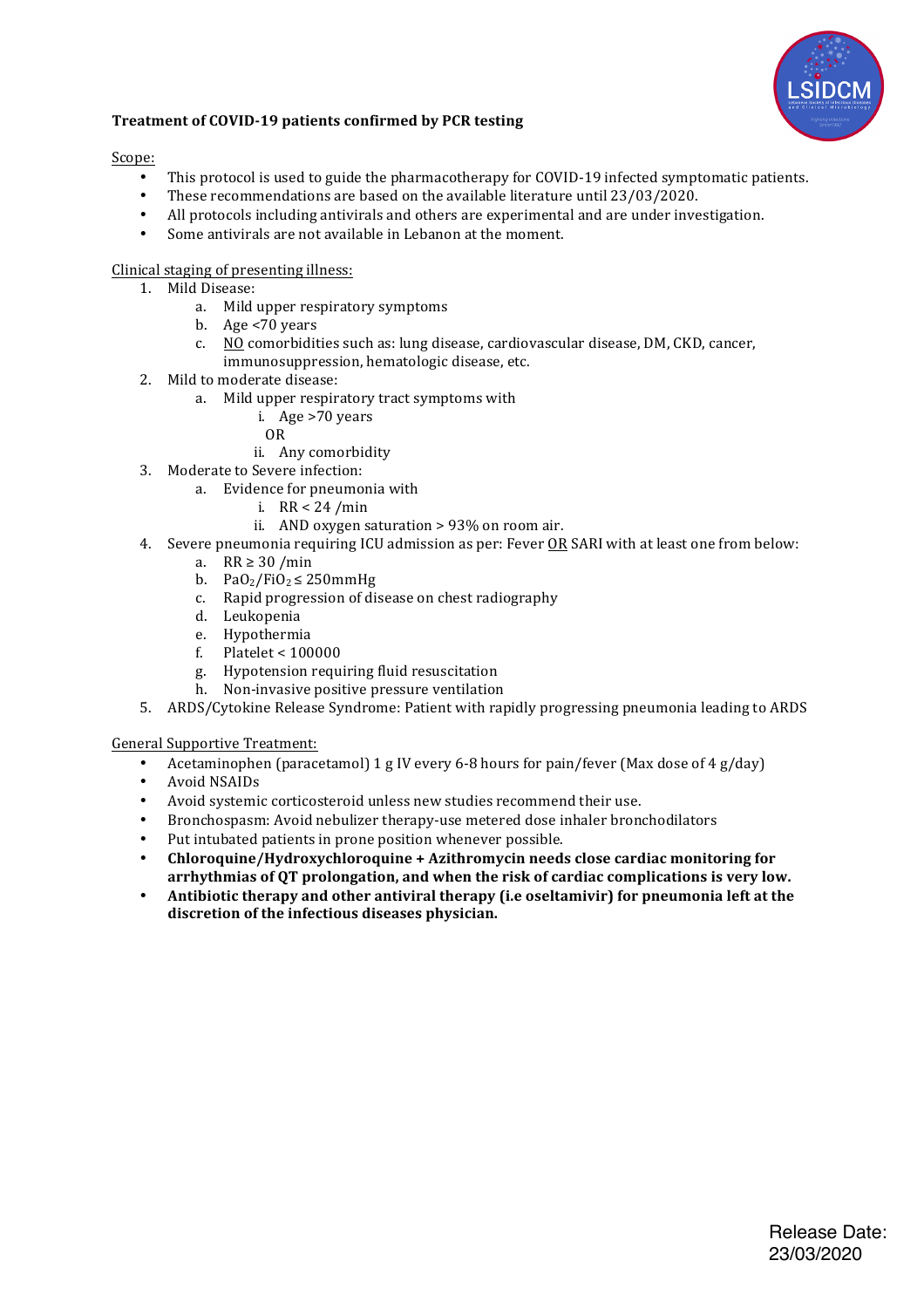

#### **Treatment of COVID-19 patients confirmed by PCR testing**

Scope:

- This protocol is used to guide the pharmacotherapy for COVID-19 infected symptomatic patients.
- These recommendations are based on the available literature until 23/03/2020.
- All protocols including antivirals and others are experimental and are under investigation.
- Some antivirals are not available in Lebanon at the moment.

#### Clinical staging of presenting illness:

- 1. Mild Disease:
	- a. Mild upper respiratory symptoms
	- b. Age  $<70$  years
	- c. NO comorbidities such as: lung disease, cardiovascular disease, DM, CKD, cancer, immunosuppression, hematologic disease, etc.
- 2. Mild to moderate disease:
	- a. Mild upper respiratory tract symptoms with
		- i. Age >70 years
			- OR
		- ii. Any comorbidity
- 3. Moderate to Severe infection:
	- a. Evidence for pneumonia with
		- i. RR < 24 /min
		- ii. AND oxygen saturation  $> 93\%$  on room air.
- 4. Severe pneumonia requiring ICU admission as per: Fever OR SARI with at least one from below:
	- a. RR  $\geq$  30 /min
		- b. PaO<sub>2</sub>/FiO<sub>2</sub>  $\leq$  250mmHg
		- c. Rapid progression of disease on chest radiography
		- d. Leukopenia
		- e. Hypothermia
		- f. Platelet  $<$  100000
		- g. Hypotension requiring fluid resuscitation
		- h. Non-invasive positive pressure ventilation
- 5. ARDS/Cytokine Release Syndrome: Patient with rapidly progressing pneumonia leading to ARDS

General Supportive Treatment:

- Acetaminophen (paracetamol) 1 g IV every 6-8 hours for pain/fever (Max dose of 4 g/day)
- Avoid NSAIDs<br>• Avoid systemi
- Avoid systemic corticosteroid unless new studies recommend their use.
- Bronchospasm: Avoid nebulizer therapy-use metered dose inhaler bronchodilators
- Put intubated patients in prone position whenever possible.
- **Chloroquine/Hydroxychloroquine + Azithromycin needs close cardiac monitoring for** arrhythmias of OT prolongation, and when the risk of cardiac complications is very low.
- Antibiotic therapy and other antiviral therapy (i.e oseltamivir) for pneumonia left at the discretion of the infectious diseases physician.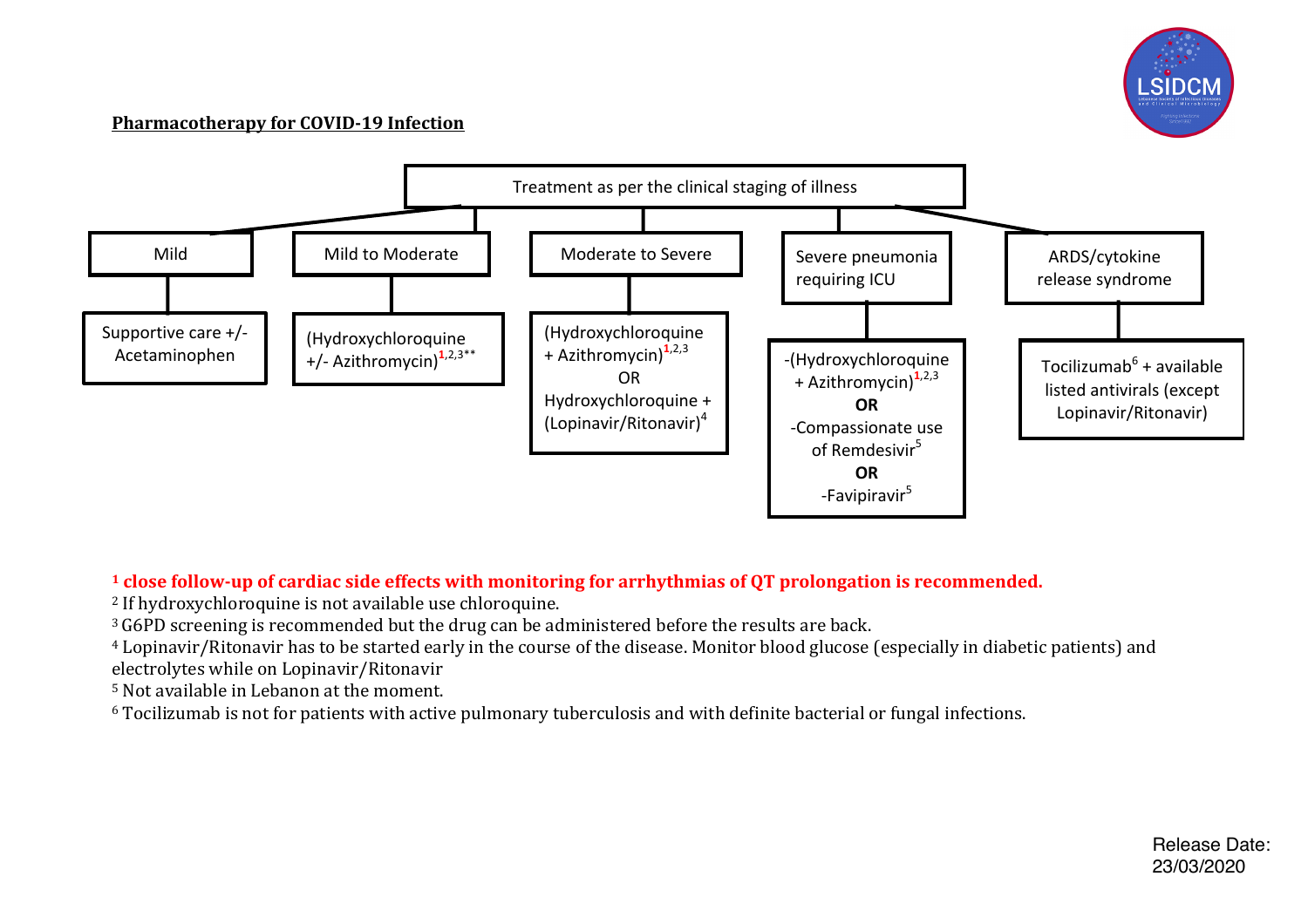

#### **Pharmacotherapy for COVID-19 Infection**



## <sup>1</sup> **close** follow-up of cardiac side effects with monitoring for arrhythmias of QT prolongation is recommended.

<sup>2</sup> If hydroxychloroquine is not available use chloroquine.

<sup>3</sup> G6PD screening is recommended but the drug can be administered before the results are back.

<sup>4</sup> Lopinavir/Ritonavir has to be started early in the course of the disease. Monitor blood glucose (especially in diabetic patients) and electrolytes while on Lopinavir/Ritonavir

 $5$  Not available in Lebanon at the moment.

 $6$  Tocilizumab is not for patients with active pulmonary tuberculosis and with definite bacterial or fungal infections.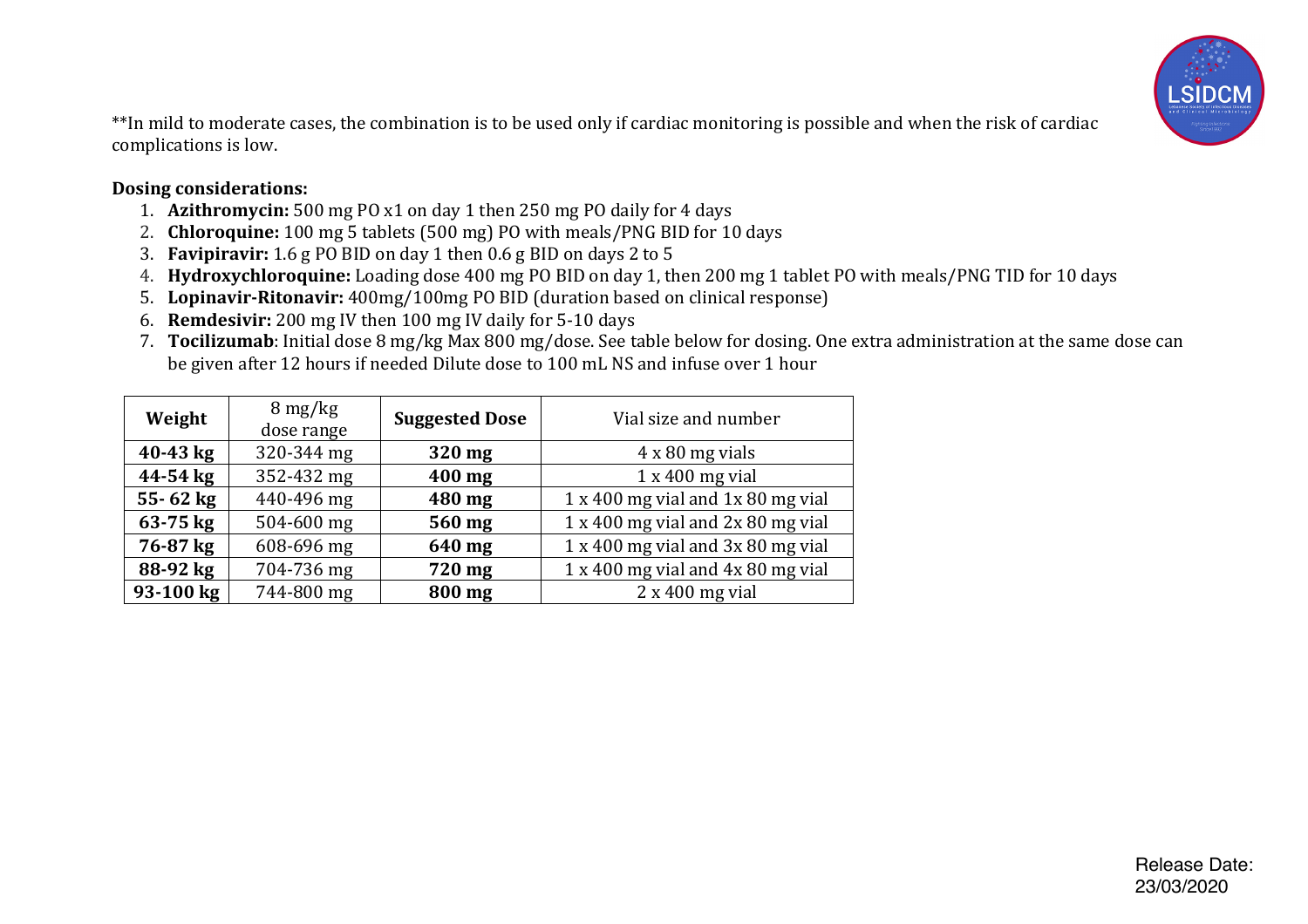

\*\*In mild to moderate cases, the combination is to be used only if cardiac monitoring is possible and when the risk of cardiac complications is low.

## **Dosing considerations:**

- 1. **Azithromycin:** 500 mg PO x1 on day 1 then 250 mg PO daily for 4 days
- 2. **Chloroquine:** 100 mg 5 tablets (500 mg) PO with meals/PNG BID for 10 days
- 3. **Favipiravir:** 1.6 g PO BID on day 1 then 0.6 g BID on days 2 to 5
- 4. **Hydroxychloroquine:** Loading dose 400 mg PO BID on day 1, then 200 mg 1 tablet PO with meals/PNG TID for 10 days
- 5. **Lopinavir-Ritonavir:** 400mg/100mg PO BID (duration based on clinical response)
- 6. **Remdesivir:** 200 mg IV then 100 mg IV daily for 5-10 days
- 7. **Tocilizumab**: Initial dose 8 mg/kg Max 800 mg/dose. See table below for dosing. One extra administration at the same dose can be given after 12 hours if needed Dilute dose to 100 mL NS and infuse over 1 hour

| Weight       | $8 \,\mathrm{mg/kg}$<br>dose range | <b>Suggested Dose</b> | Vial size and number                             |
|--------------|------------------------------------|-----------------------|--------------------------------------------------|
| $40 - 43$ kg | 320-344 mg                         | 320 mg                | $4 \times 80$ mg vials                           |
| 44-54 kg     | 352-432 mg                         | 400 mg                | $1 \times 400$ mg vial                           |
| $55 - 62$ kg | 440-496 mg                         | 480 mg                | $1 \times 400$ mg vial and $1 \times 80$ mg vial |
| 63-75 kg     | 504-600 mg                         | 560 mg                | 1 x 400 mg vial and 2x 80 mg vial                |
| 76-87 kg     | 608-696 mg                         | 640 mg                | 1 x 400 mg vial and 3x 80 mg vial                |
| 88-92 kg     | 704-736 mg                         | 720 mg                | 1 x 400 mg vial and 4x 80 mg vial                |
| 93-100 kg    | 744-800 mg                         | 800 mg                | $2 \times 400$ mg vial                           |